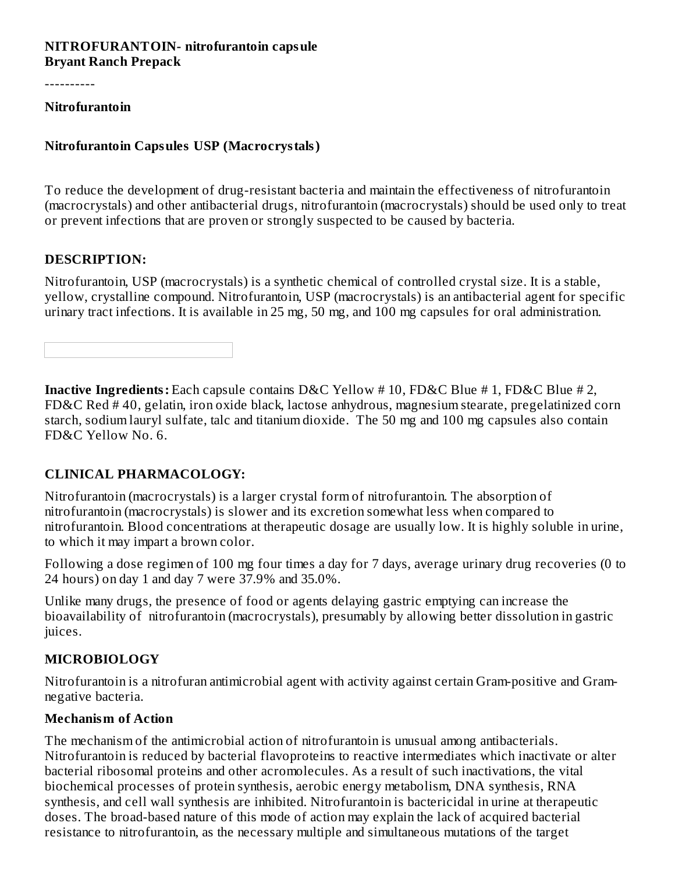#### **NITROFURANTOIN- nitrofurantoin capsule Bryant Ranch Prepack**

----------

#### **Nitrofurantoin**

#### **Nitrofurantoin Capsules USP (Macrocrystals)**

To reduce the development of drug-resistant bacteria and maintain the effectiveness of nitrofurantoin (macrocrystals) and other antibacterial drugs, nitrofurantoin (macrocrystals) should be used only to treat or prevent infections that are proven or strongly suspected to be caused by bacteria.

#### **DESCRIPTION:**

Nitrofurantoin, USP (macrocrystals) is a synthetic chemical of controlled crystal size. It is a stable, yellow, crystalline compound. Nitrofurantoin, USP (macrocrystals) is an antibacterial agent for specific urinary tract infections. It is available in 25 mg, 50 mg, and 100 mg capsules for oral administration.

**Inactive Ingredients:** Each capsule contains D&C Yellow # 10, FD&C Blue # 1, FD&C Blue # 2, FD&C Red # 40, gelatin, iron oxide black, lactose anhydrous, magnesium stearate, pregelatinized corn starch, sodium lauryl sulfate, talc and titanium dioxide. The 50 mg and 100 mg capsules also contain FD&C Yellow No. 6.

### **CLINICAL PHARMACOLOGY:**

Nitrofurantoin (macrocrystals) is a larger crystal form of nitrofurantoin. The absorption of nitrofurantoin (macrocrystals) is slower and its excretion somewhat less when compared to nitrofurantoin. Blood concentrations at therapeutic dosage are usually low. It is highly soluble in urine, to which it may impart a brown color.

Following a dose regimen of 100 mg four times a day for 7 days, average urinary drug recoveries (0 to 24 hours) on day 1 and day 7 were 37.9% and 35.0%.

Unlike many drugs, the presence of food or agents delaying gastric emptying can increase the bioavailability of nitrofurantoin (macrocrystals), presumably by allowing better dissolution in gastric juices.

### **MICROBIOLOGY**

Nitrofurantoin is a nitrofuran antimicrobial agent with activity against certain Gram-positive and Gramnegative bacteria.

#### **Mechanism of Action**

The mechanism of the antimicrobial action of nitrofurantoin is unusual among antibacterials. Nitrofurantoin is reduced by bacterial flavoproteins to reactive intermediates which inactivate or alter bacterial ribosomal proteins and other acromolecules. As a result of such inactivations, the vital biochemical processes of protein synthesis, aerobic energy metabolism, DNA synthesis, RNA synthesis, and cell wall synthesis are inhibited. Nitrofurantoin is bactericidal in urine at therapeutic doses. The broad-based nature of this mode of action may explain the lack of acquired bacterial resistance to nitrofurantoin, as the necessary multiple and simultaneous mutations of the target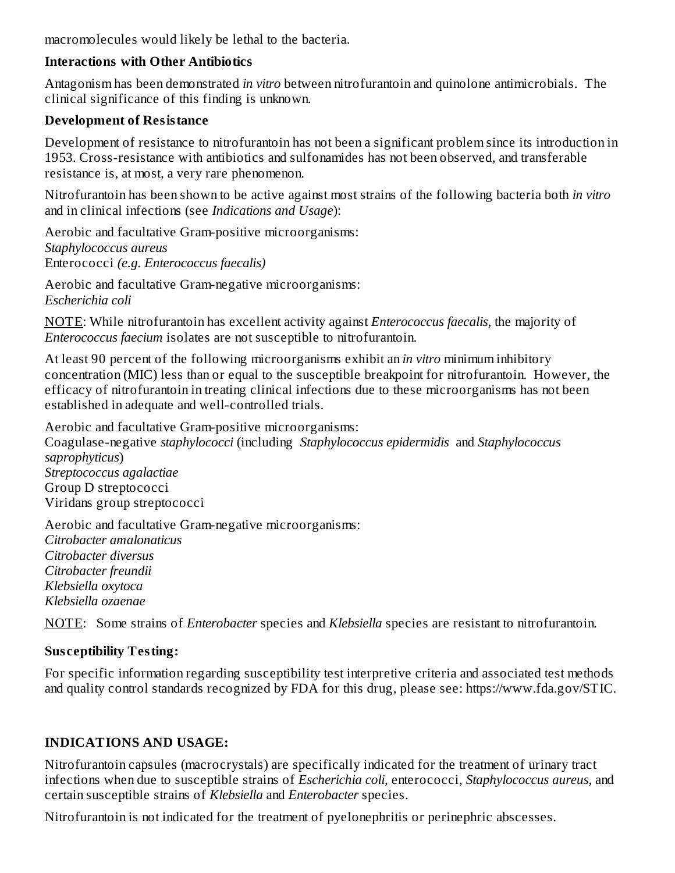macromolecules would likely be lethal to the bacteria.

#### **Interactions with Other Antibiotics**

Antagonism has been demonstrated *in vitro* between nitrofurantoin and quinolone antimicrobials. The clinical significance of this finding is unknown.

#### **Development of Resistance**

Development of resistance to nitrofurantoin has not been a significant problem since its introduction in 1953. Cross-resistance with antibiotics and sulfonamides has not been observed, and transferable resistance is, at most, a very rare phenomenon.

Nitrofurantoin has been shown to be active against most strains of the following bacteria both *in vitro* and in clinical infections (see *Indications and Usage*):

Aerobic and facultative Gram-positive microorganisms: *Staphylococcus aureus* Enterococci *(e.g. Enterococcus faecalis)*

Aerobic and facultative Gram-negative microorganisms: *Escherichia coli*

NOTE: While nitrofurantoin has excellent activity against *Enterococcus faecalis*, the majority of *Enterococcus faecium* isolates are not susceptible to nitrofurantoin.

At least 90 percent of the following microorganisms exhibit an *in vitro* minimum inhibitory concentration (MIC) less than or equal to the susceptible breakpoint for nitrofurantoin. However, the efficacy of nitrofurantoin in treating clinical infections due to these microorganisms has not been established in adequate and well-controlled trials.

Aerobic and facultative Gram-positive microorganisms: Coagulase-negative *staphylococci* (including *Staphylococcus epidermidis* and *Staphylococcus saprophyticus*) *Streptococcus agalactiae* Group D streptococci Viridans group streptococci

Aerobic and facultative Gram-negative microorganisms: *Citrobacter amalonaticus Citrobacter diversus Citrobacter freundii Klebsiella oxytoca Klebsiella ozaenae*

NOTE: Some strains of *Enterobacter* species and *Klebsiella* species are resistant to nitrofurantoin.

### **Sus ceptibility Testing:**

For specific information regarding susceptibility test interpretive criteria and associated test methods and quality control standards recognized by FDA for this drug, please see: https://www.fda.gov/STIC.

## **INDICATIONS AND USAGE:**

Nitrofurantoin capsules (macrocrystals) are specifically indicated for the treatment of urinary tract infections when due to susceptible strains of *Escherichia coli,* enterococci*, Staphylococcus aureus*, and certain susceptible strains of *Klebsiella* and *Enterobacter* species.

Nitrofurantoin is not indicated for the treatment of pyelonephritis or perinephric abscesses.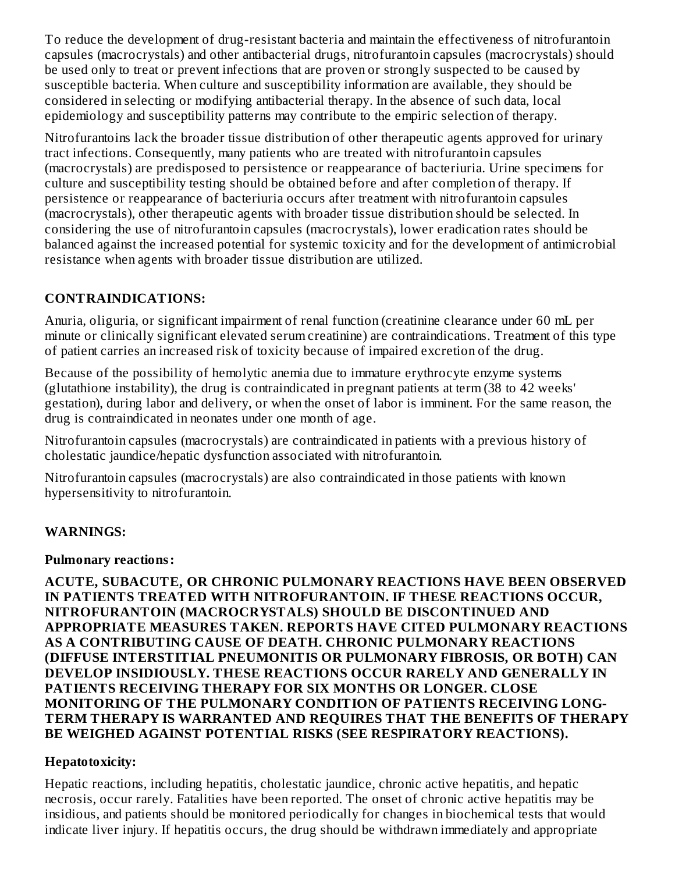To reduce the development of drug-resistant bacteria and maintain the effectiveness of nitrofurantoin capsules (macrocrystals) and other antibacterial drugs, nitrofurantoin capsules (macrocrystals) should be used only to treat or prevent infections that are proven or strongly suspected to be caused by susceptible bacteria. When culture and susceptibility information are available, they should be considered in selecting or modifying antibacterial therapy. In the absence of such data, local epidemiology and susceptibility patterns may contribute to the empiric selection of therapy.

Nitrofurantoins lack the broader tissue distribution of other therapeutic agents approved for urinary tract infections. Consequently, many patients who are treated with nitrofurantoin capsules (macrocrystals) are predisposed to persistence or reappearance of bacteriuria. Urine specimens for culture and susceptibility testing should be obtained before and after completion of therapy. If persistence or reappearance of bacteriuria occurs after treatment with nitrofurantoin capsules (macrocrystals), other therapeutic agents with broader tissue distribution should be selected. In considering the use of nitrofurantoin capsules (macrocrystals), lower eradication rates should be balanced against the increased potential for systemic toxicity and for the development of antimicrobial resistance when agents with broader tissue distribution are utilized.

## **CONTRAINDICATIONS:**

Anuria, oliguria, or significant impairment of renal function (creatinine clearance under 60 mL per minute or clinically significant elevated serum creatinine) are contraindications. Treatment of this type of patient carries an increased risk of toxicity because of impaired excretion of the drug.

Because of the possibility of hemolytic anemia due to immature erythrocyte enzyme systems (glutathione instability), the drug is contraindicated in pregnant patients at term (38 to 42 weeks' gestation), during labor and delivery, or when the onset of labor is imminent. For the same reason, the drug is contraindicated in neonates under one month of age.

Nitrofurantoin capsules (macrocrystals) are contraindicated in patients with a previous history of cholestatic jaundice/hepatic dysfunction associated with nitrofurantoin.

Nitrofurantoin capsules (macrocrystals) are also contraindicated in those patients with known hypersensitivity to nitrofurantoin.

## **WARNINGS:**

### **Pulmonary reactions:**

**ACUTE, SUBACUTE, OR CHRONIC PULMONARY REACTIONS HAVE BEEN OBSERVED IN PATIENTS TREATED WITH NITROFURANTOIN. IF THESE REACTIONS OCCUR, NITROFURANTOIN (MACROCRYSTALS) SHOULD BE DISCONTINUED AND APPROPRIATE MEASURES TAKEN. REPORTS HAVE CITED PULMONARY REACTIONS AS A CONTRIBUTING CAUSE OF DEATH. CHRONIC PULMONARY REACTIONS (DIFFUSE INTERSTITIAL PNEUMONITIS OR PULMONARY FIBROSIS, OR BOTH) CAN DEVELOP INSIDIOUSLY. THESE REACTIONS OCCUR RARELY AND GENERALLY IN PATIENTS RECEIVING THERAPY FOR SIX MONTHS OR LONGER. CLOSE MONITORING OF THE PULMONARY CONDITION OF PATIENTS RECEIVING LONG-TERM THERAPY IS WARRANTED AND REQUIRES THAT THE BENEFITS OF THERAPY BE WEIGHED AGAINST POTENTIAL RISKS (SEE RESPIRATORY REACTIONS).**

## **Hepatotoxicity:**

Hepatic reactions, including hepatitis, cholestatic jaundice, chronic active hepatitis, and hepatic necrosis, occur rarely. Fatalities have been reported. The onset of chronic active hepatitis may be insidious, and patients should be monitored periodically for changes in biochemical tests that would indicate liver injury. If hepatitis occurs, the drug should be withdrawn immediately and appropriate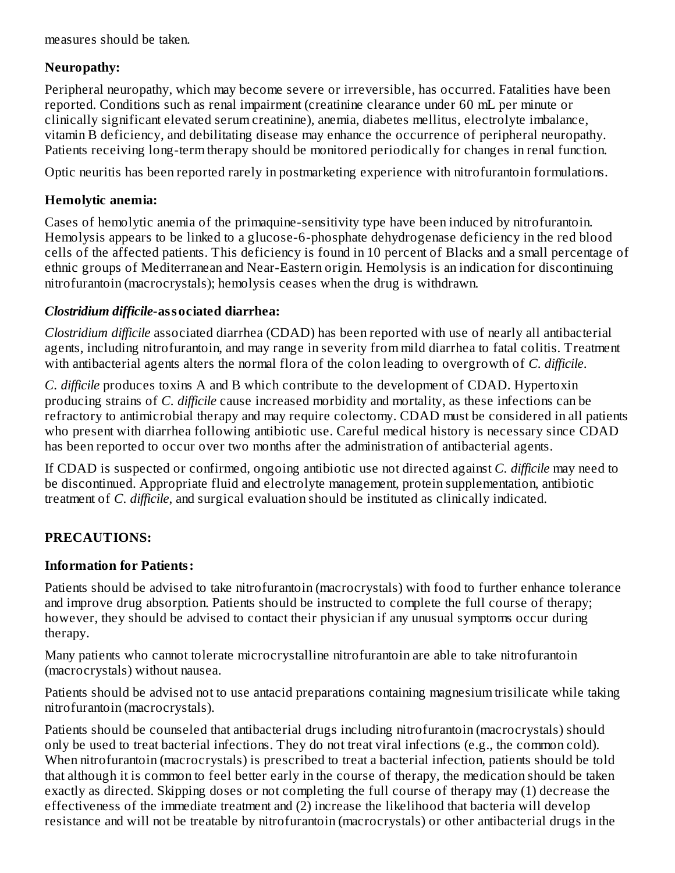measures should be taken.

### **Neuropathy:**

Peripheral neuropathy, which may become severe or irreversible, has occurred. Fatalities have been reported. Conditions such as renal impairment (creatinine clearance under 60 mL per minute or clinically significant elevated serum creatinine), anemia, diabetes mellitus, electrolyte imbalance, vitamin B deficiency, and debilitating disease may enhance the occurrence of peripheral neuropathy. Patients receiving long-term therapy should be monitored periodically for changes in renal function.

Optic neuritis has been reported rarely in postmarketing experience with nitrofurantoin formulations.

## **Hemolytic anemia:**

Cases of hemolytic anemia of the primaquine-sensitivity type have been induced by nitrofurantoin. Hemolysis appears to be linked to a glucose-6-phosphate dehydrogenase deficiency in the red blood cells of the affected patients. This deficiency is found in 10 percent of Blacks and a small percentage of ethnic groups of Mediterranean and Near-Eastern origin. Hemolysis is an indication for discontinuing nitrofurantoin (macrocrystals); hemolysis ceases when the drug is withdrawn.

# *Clostridium difficile***-associated diarrhea:**

*Clostridium difficile* associated diarrhea (CDAD) has been reported with use of nearly all antibacterial agents, including nitrofurantoin, and may range in severity from mild diarrhea to fatal colitis. Treatment with antibacterial agents alters the normal flora of the colon leading to overgrowth of *C. difficile*.

*C. difficile* produces toxins A and B which contribute to the development of CDAD. Hypertoxin producing strains of *C. difficile* cause increased morbidity and mortality, as these infections can be refractory to antimicrobial therapy and may require colectomy. CDAD must be considered in all patients who present with diarrhea following antibiotic use. Careful medical history is necessary since CDAD has been reported to occur over two months after the administration of antibacterial agents.

If CDAD is suspected or confirmed, ongoing antibiotic use not directed against *C. difficile* may need to be discontinued. Appropriate fluid and electrolyte management, protein supplementation, antibiotic treatment of *C. difficile*, and surgical evaluation should be instituted as clinically indicated.

## **PRECAUTIONS:**

## **Information for Patients:**

Patients should be advised to take nitrofurantoin (macrocrystals) with food to further enhance tolerance and improve drug absorption. Patients should be instructed to complete the full course of therapy; however, they should be advised to contact their physician if any unusual symptoms occur during therapy.

Many patients who cannot tolerate microcrystalline nitrofurantoin are able to take nitrofurantoin (macrocrystals) without nausea.

Patients should be advised not to use antacid preparations containing magnesium trisilicate while taking nitrofurantoin (macrocrystals).

Patients should be counseled that antibacterial drugs including nitrofurantoin (macrocrystals) should only be used to treat bacterial infections. They do not treat viral infections (e.g., the common cold). When nitrofurantoin (macrocrystals) is prescribed to treat a bacterial infection, patients should be told that although it is common to feel better early in the course of therapy, the medication should be taken exactly as directed. Skipping doses or not completing the full course of therapy may (1) decrease the effectiveness of the immediate treatment and (2) increase the likelihood that bacteria will develop resistance and will not be treatable by nitrofurantoin (macrocrystals) or other antibacterial drugs in the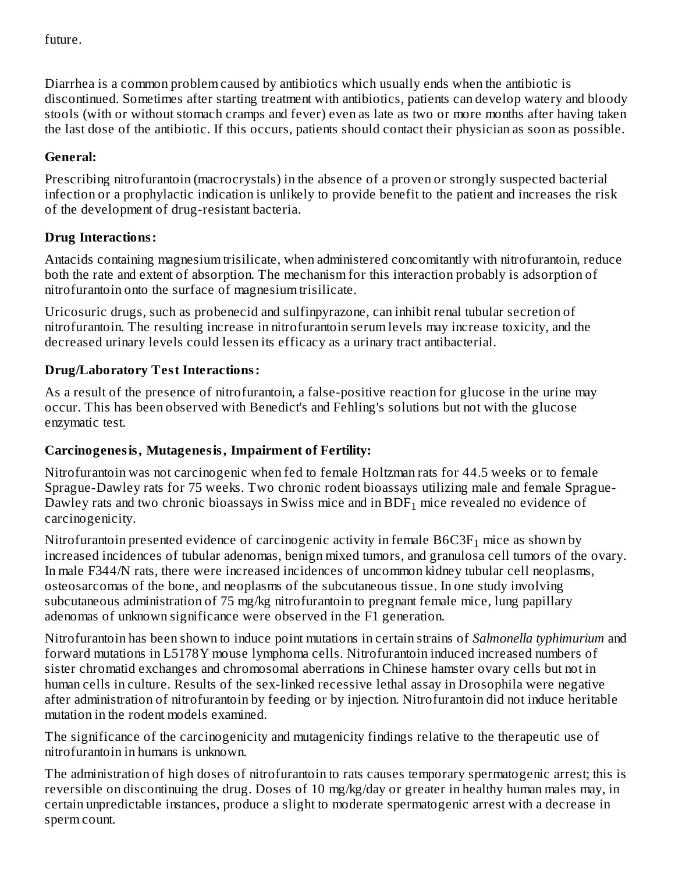future.

Diarrhea is a common problem caused by antibiotics which usually ends when the antibiotic is discontinued. Sometimes after starting treatment with antibiotics, patients can develop watery and bloody stools (with or without stomach cramps and fever) even as late as two or more months after having taken the last dose of the antibiotic. If this occurs, patients should contact their physician as soon as possible.

### **General:**

Prescribing nitrofurantoin (macrocrystals) in the absence of a proven or strongly suspected bacterial infection or a prophylactic indication is unlikely to provide benefit to the patient and increases the risk of the development of drug-resistant bacteria.

### **Drug Interactions:**

Antacids containing magnesium trisilicate, when administered concomitantly with nitrofurantoin, reduce both the rate and extent of absorption. The mechanism for this interaction probably is adsorption of nitrofurantoin onto the surface of magnesium trisilicate.

Uricosuric drugs, such as probenecid and sulfinpyrazone, can inhibit renal tubular secretion of nitrofurantoin. The resulting increase in nitrofurantoin serum levels may increase toxicity, and the decreased urinary levels could lessen its efficacy as a urinary tract antibacterial.

### **Drug/Laboratory Test Interactions:**

As a result of the presence of nitrofurantoin, a false-positive reaction for glucose in the urine may occur. This has been observed with Benedict's and Fehling's solutions but not with the glucose enzymatic test.

## **Carcinogenesis, Mutagenesis, Impairment of Fertility:**

Nitrofurantoin was not carcinogenic when fed to female Holtzman rats for 44.5 weeks or to female Sprague-Dawley rats for 75 weeks. Two chronic rodent bioassays utilizing male and female Sprague-Dawley rats and two chronic bioassays in Swiss mice and in  $\mathrm{BDF}_1$  mice revealed no evidence of carcinogenicity.

Nitrofurantoin presented evidence of carcinogenic activity in female  $\mathrm{B6C3F_{1}}$  mice as shown by increased incidences of tubular adenomas, benign mixed tumors, and granulosa cell tumors of the ovary. In male F344/N rats, there were increased incidences of uncommon kidney tubular cell neoplasms, osteosarcomas of the bone, and neoplasms of the subcutaneous tissue. In one study involving subcutaneous administration of 75 mg/kg nitrofurantoin to pregnant female mice, lung papillary adenomas of unknown significance were observed in the F1 generation.

Nitrofurantoin has been shown to induce point mutations in certain strains of *Salmonella typhimurium* and forward mutations in L5178Y mouse lymphoma cells. Nitrofurantoin induced increased numbers of sister chromatid exchanges and chromosomal aberrations in Chinese hamster ovary cells but not in human cells in culture. Results of the sex-linked recessive lethal assay in Drosophila were negative after administration of nitrofurantoin by feeding or by injection. Nitrofurantoin did not induce heritable mutation in the rodent models examined.

The significance of the carcinogenicity and mutagenicity findings relative to the therapeutic use of nitrofurantoin in humans is unknown.

The administration of high doses of nitrofurantoin to rats causes temporary spermatogenic arrest; this is reversible on discontinuing the drug. Doses of 10 mg/kg/day or greater in healthy human males may, in certain unpredictable instances, produce a slight to moderate spermatogenic arrest with a decrease in sperm count.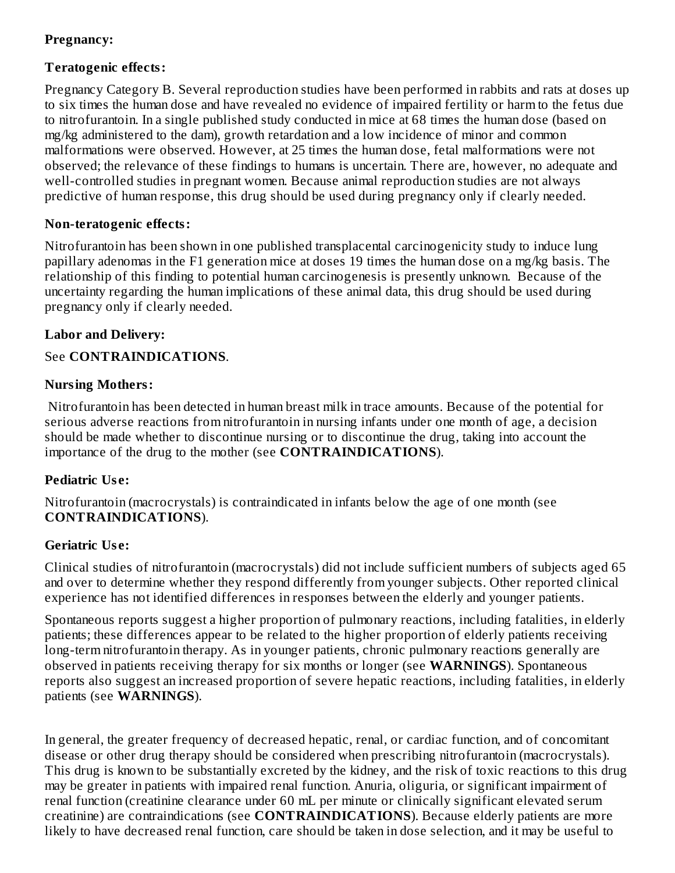### **Pregnancy:**

### **Teratogenic effects:**

Pregnancy Category B. Several reproduction studies have been performed in rabbits and rats at doses up to six times the human dose and have revealed no evidence of impaired fertility or harm to the fetus due to nitrofurantoin. In a single published study conducted in mice at 68 times the human dose (based on mg/kg administered to the dam), growth retardation and a low incidence of minor and common malformations were observed. However, at 25 times the human dose, fetal malformations were not observed; the relevance of these findings to humans is uncertain. There are, however, no adequate and well-controlled studies in pregnant women. Because animal reproduction studies are not always predictive of human response, this drug should be used during pregnancy only if clearly needed.

### **Non-teratogenic effects:**

Nitrofurantoin has been shown in one published transplacental carcinogenicity study to induce lung papillary adenomas in the F1 generation mice at doses 19 times the human dose on a mg/kg basis. The relationship of this finding to potential human carcinogenesis is presently unknown. Because of the uncertainty regarding the human implications of these animal data, this drug should be used during pregnancy only if clearly needed.

### **Labor and Delivery:**

### See **CONTRAINDICATIONS**.

## **Nursing Mothers:**

Nitrofurantoin has been detected in human breast milk in trace amounts. Because of the potential for serious adverse reactions from nitrofurantoin in nursing infants under one month of age, a decision should be made whether to discontinue nursing or to discontinue the drug, taking into account the importance of the drug to the mother (see **CONTRAINDICATIONS**).

## **Pediatric Us e:**

Nitrofurantoin (macrocrystals) is contraindicated in infants below the age of one month (see **CONTRAINDICATIONS**).

### **Geriatric Us e:**

Clinical studies of nitrofurantoin (macrocrystals) did not include sufficient numbers of subjects aged 65 and over to determine whether they respond differently from younger subjects. Other reported clinical experience has not identified differences in responses between the elderly and younger patients.

Spontaneous reports suggest a higher proportion of pulmonary reactions, including fatalities, in elderly patients; these differences appear to be related to the higher proportion of elderly patients receiving long-term nitrofurantoin therapy. As in younger patients, chronic pulmonary reactions generally are observed in patients receiving therapy for six months or longer (see **WARNINGS**). Spontaneous reports also suggest an increased proportion of severe hepatic reactions, including fatalities, in elderly patients (see **WARNINGS**).

In general, the greater frequency of decreased hepatic, renal, or cardiac function, and of concomitant disease or other drug therapy should be considered when prescribing nitrofurantoin (macrocrystals). This drug is known to be substantially excreted by the kidney, and the risk of toxic reactions to this drug may be greater in patients with impaired renal function. Anuria, oliguria, or significant impairment of renal function (creatinine clearance under 60 mL per minute or clinically significant elevated serum creatinine) are contraindications (see **CONTRAINDICATIONS**). Because elderly patients are more likely to have decreased renal function, care should be taken in dose selection, and it may be useful to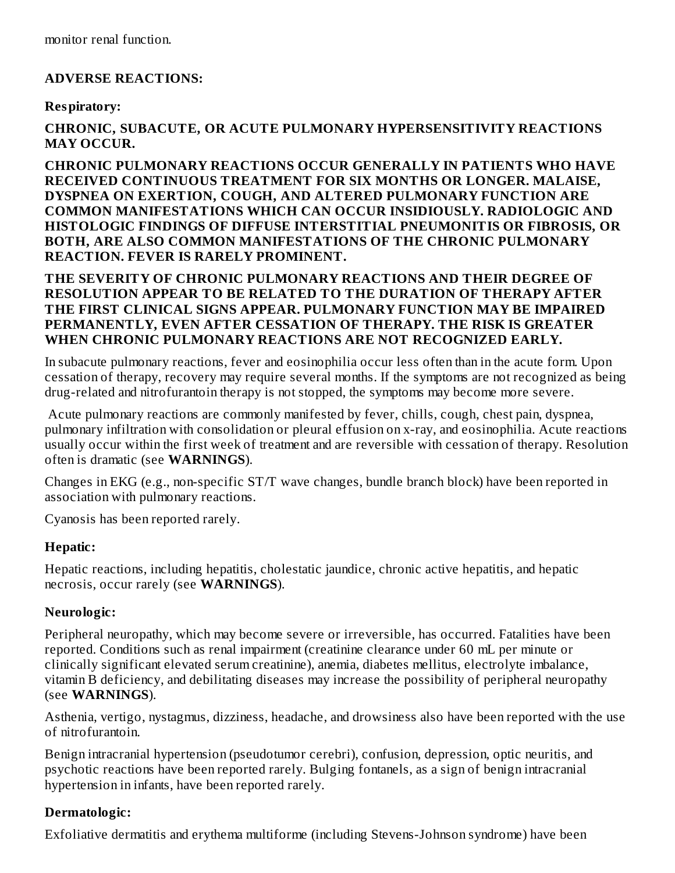#### **ADVERSE REACTIONS:**

#### **Respiratory:**

**CHRONIC, SUBACUTE, OR ACUTE PULMONARY HYPERSENSITIVITY REACTIONS MAY OCCUR.**

**CHRONIC PULMONARY REACTIONS OCCUR GENERALLY IN PATIENTS WHO HAVE RECEIVED CONTINUOUS TREATMENT FOR SIX MONTHS OR LONGER. MALAISE, DYSPNEA ON EXERTION, COUGH, AND ALTERED PULMONARY FUNCTION ARE COMMON MANIFESTATIONS WHICH CAN OCCUR INSIDIOUSLY. RADIOLOGIC AND HISTOLOGIC FINDINGS OF DIFFUSE INTERSTITIAL PNEUMONITIS OR FIBROSIS, OR BOTH, ARE ALSO COMMON MANIFESTATIONS OF THE CHRONIC PULMONARY REACTION. FEVER IS RARELY PROMINENT.**

#### **THE SEVERITY OF CHRONIC PULMONARY REACTIONS AND THEIR DEGREE OF RESOLUTION APPEAR TO BE RELATED TO THE DURATION OF THERAPY AFTER THE FIRST CLINICAL SIGNS APPEAR. PULMONARY FUNCTION MAY BE IMPAIRED PERMANENTLY, EVEN AFTER CESSATION OF THERAPY. THE RISK IS GREATER WHEN CHRONIC PULMONARY REACTIONS ARE NOT RECOGNIZED EARLY.**

In subacute pulmonary reactions, fever and eosinophilia occur less often than in the acute form. Upon cessation of therapy, recovery may require several months. If the symptoms are not recognized as being drug-related and nitrofurantoin therapy is not stopped, the symptoms may become more severe.

Acute pulmonary reactions are commonly manifested by fever, chills, cough, chest pain, dyspnea, pulmonary infiltration with consolidation or pleural effusion on x-ray, and eosinophilia. Acute reactions usually occur within the first week of treatment and are reversible with cessation of therapy. Resolution often is dramatic (see **WARNINGS**).

Changes in EKG (e.g., non-specific ST/T wave changes, bundle branch block) have been reported in association with pulmonary reactions.

Cyanosis has been reported rarely.

#### **Hepatic:**

Hepatic reactions, including hepatitis, cholestatic jaundice, chronic active hepatitis, and hepatic necrosis, occur rarely (see **WARNINGS**).

### **Neurologic:**

Peripheral neuropathy, which may become severe or irreversible, has occurred. Fatalities have been reported. Conditions such as renal impairment (creatinine clearance under 60 mL per minute or clinically significant elevated serum creatinine), anemia, diabetes mellitus, electrolyte imbalance, vitamin B deficiency, and debilitating diseases may increase the possibility of peripheral neuropathy (see **WARNINGS**).

Asthenia, vertigo, nystagmus, dizziness, headache, and drowsiness also have been reported with the use of nitrofurantoin.

Benign intracranial hypertension (pseudotumor cerebri), confusion, depression, optic neuritis, and psychotic reactions have been reported rarely. Bulging fontanels, as a sign of benign intracranial hypertension in infants, have been reported rarely.

### **Dermatologic:**

Exfoliative dermatitis and erythema multiforme (including Stevens-Johnson syndrome) have been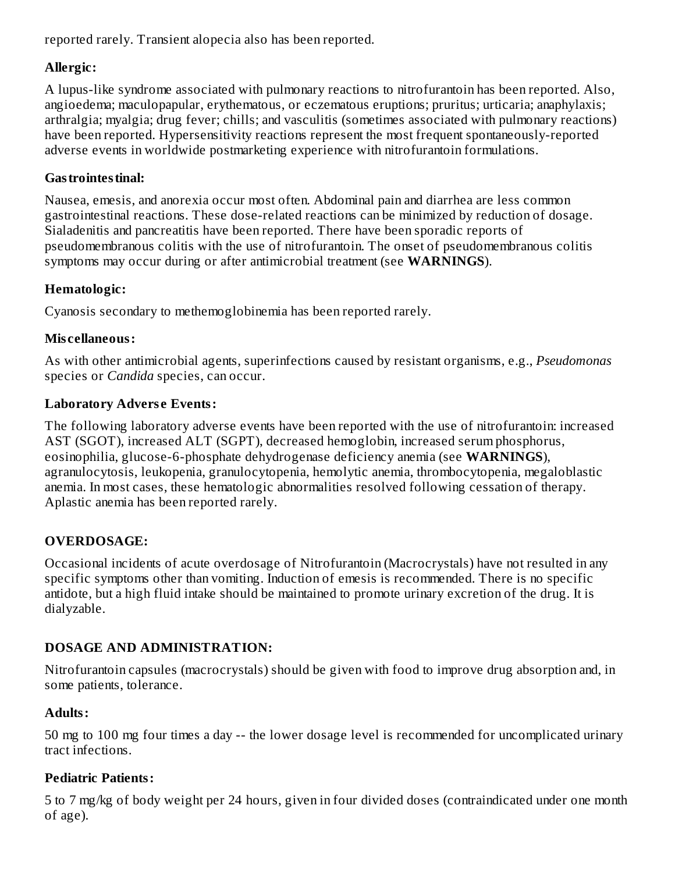reported rarely. Transient alopecia also has been reported.

# **Allergic:**

A lupus-like syndrome associated with pulmonary reactions to nitrofurantoin has been reported. Also, angioedema; maculopapular, erythematous, or eczematous eruptions; pruritus; urticaria; anaphylaxis; arthralgia; myalgia; drug fever; chills; and vasculitis (sometimes associated with pulmonary reactions) have been reported. Hypersensitivity reactions represent the most frequent spontaneously-reported adverse events in worldwide postmarketing experience with nitrofurantoin formulations.

## **Gastrointestinal:**

Nausea, emesis, and anorexia occur most often. Abdominal pain and diarrhea are less common gastrointestinal reactions. These dose-related reactions can be minimized by reduction of dosage. Sialadenitis and pancreatitis have been reported. There have been sporadic reports of pseudomembranous colitis with the use of nitrofurantoin. The onset of pseudomembranous colitis symptoms may occur during or after antimicrobial treatment (see **WARNINGS**).

# **Hematologic:**

Cyanosis secondary to methemoglobinemia has been reported rarely.

# **Mis cellaneous:**

As with other antimicrobial agents, superinfections caused by resistant organisms, e.g., *Pseudomonas* species or *Candida* species, can occur.

# **Laboratory Advers e Events:**

The following laboratory adverse events have been reported with the use of nitrofurantoin: increased AST (SGOT), increased ALT (SGPT), decreased hemoglobin, increased serum phosphorus, eosinophilia, glucose-6-phosphate dehydrogenase deficiency anemia (see **WARNINGS**), agranulocytosis, leukopenia, granulocytopenia, hemolytic anemia, thrombocytopenia, megaloblastic anemia. In most cases, these hematologic abnormalities resolved following cessation of therapy. Aplastic anemia has been reported rarely.

# **OVERDOSAGE:**

Occasional incidents of acute overdosage of Nitrofurantoin (Macrocrystals) have not resulted in any specific symptoms other than vomiting. Induction of emesis is recommended. There is no specific antidote, but a high fluid intake should be maintained to promote urinary excretion of the drug. It is dialyzable.

# **DOSAGE AND ADMINISTRATION:**

Nitrofurantoin capsules (macrocrystals) should be given with food to improve drug absorption and, in some patients, tolerance.

# **Adults:**

50 mg to 100 mg four times a day -- the lower dosage level is recommended for uncomplicated urinary tract infections.

# **Pediatric Patients:**

5 to 7 mg/kg of body weight per 24 hours, given in four divided doses (contraindicated under one month of age).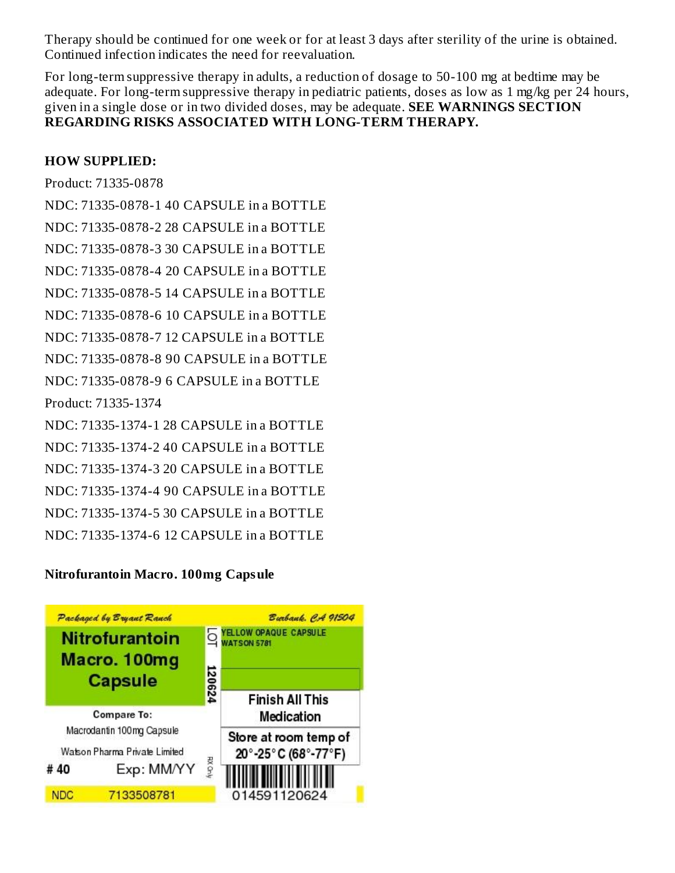Therapy should be continued for one week or for at least 3 days after sterility of the urine is obtained. Continued infection indicates the need for reevaluation.

For long-term suppressive therapy in adults, a reduction of dosage to 50-100 mg at bedtime may be adequate. For long-term suppressive therapy in pediatric patients, doses as low as 1 mg/kg per 24 hours, given in a single dose or in two divided doses, may be adequate. **SEE WARNINGS SECTION REGARDING RISKS ASSOCIATED WITH LONG-TERM THERAPY.**

#### **HOW SUPPLIED:**

Product: 71335-0878

NDC: 71335-0878-1 40 CAPSULE in a BOTTLE NDC: 71335-0878-2 28 CAPSULE in a BOTTLE NDC: 71335-0878-3 30 CAPSULE in a BOTTLE NDC: 71335-0878-4 20 CAPSULE in a BOTTLE NDC: 71335-0878-5 14 CAPSULE in a BOTTLE NDC: 71335-0878-6 10 CAPSULE in a BOTTLE NDC: 71335-0878-7 12 CAPSULE in a BOTTLE NDC: 71335-0878-8 90 CAPSULE in a BOTTLE NDC: 71335-0878-9 6 CAPSULE in a BOTTLE Product: 71335-1374

NDC: 71335-1374-1 28 CAPSULE in a BOTTLE NDC: 71335-1374-2 40 CAPSULE in a BOTTLE NDC: 71335-1374-3 20 CAPSULE in a BOTTLE NDC: 71335-1374-4 90 CAPSULE in a BOTTLE NDC: 71335-1374-5 30 CAPSULE in a BOTTLE NDC: 71335-1374-6 12 CAPSULE in a BOTTLE

### **Nitrofurantoin Macro. 100mg Capsule**

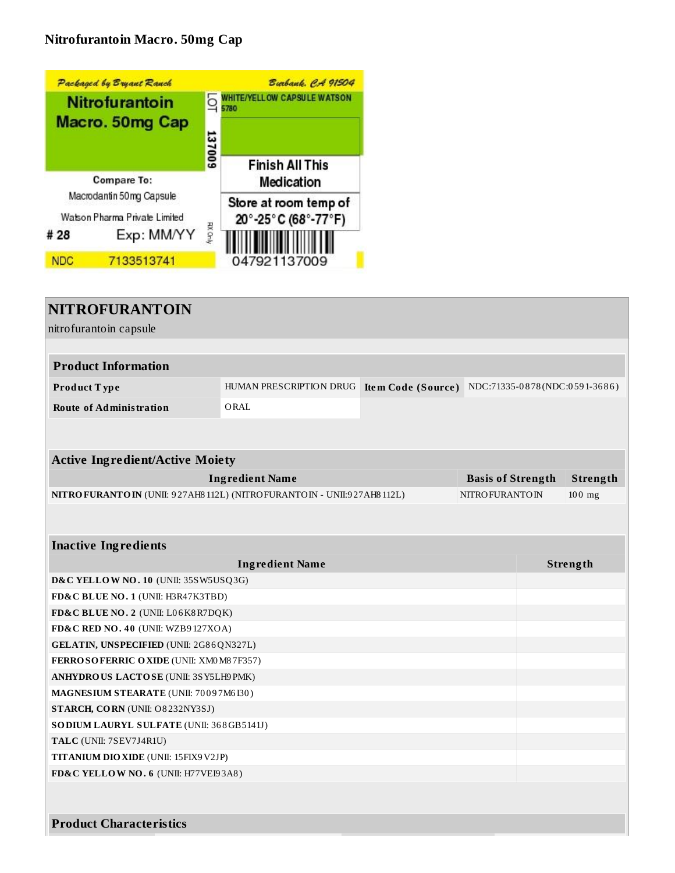### **Nitrofurantoin Macro. 50mg Cap**



| <b>NITROFURANTOIN</b>                                                     |                                         |  |                                                  |          |  |
|---------------------------------------------------------------------------|-----------------------------------------|--|--------------------------------------------------|----------|--|
| nitrofurantoin capsule                                                    |                                         |  |                                                  |          |  |
|                                                                           |                                         |  |                                                  |          |  |
| <b>Product Information</b>                                                |                                         |  |                                                  |          |  |
| Product Type                                                              | HUMAN PRESCRIPTION DRUG                 |  | Item Code (Source) NDC:71335-0878(NDC:0591-3686) |          |  |
| <b>Route of Administration</b>                                            | ORAL                                    |  |                                                  |          |  |
|                                                                           |                                         |  |                                                  |          |  |
|                                                                           |                                         |  |                                                  |          |  |
| <b>Active Ingredient/Active Moiety</b>                                    | <b>Ingredient Name</b>                  |  | <b>Basis of Strength</b>                         |          |  |
| NITRO FURANTO IN (UNII: 927AH8112L) (NITRO FURANTO IN - UNII: 927AH8112L) |                                         |  | <b>NITROFURANTOIN</b>                            | Strength |  |
|                                                                           |                                         |  |                                                  | 100 mg   |  |
|                                                                           |                                         |  |                                                  |          |  |
| <b>Inactive Ingredients</b>                                               |                                         |  |                                                  |          |  |
| <b>Ingredient Name</b>                                                    |                                         |  |                                                  | Strength |  |
| D&C YELLOW NO. 10 (UNII: 35SW5USQ3G)                                      |                                         |  |                                                  |          |  |
| FD&C BLUE NO. 1 (UNII: H3R47K3TBD)                                        |                                         |  |                                                  |          |  |
| FD&C BLUE NO. 2 (UNII: L06K8R7DQK)                                        |                                         |  |                                                  |          |  |
| FD&C RED NO. 40 (UNII: WZB9127XOA)                                        |                                         |  |                                                  |          |  |
| GELATIN, UNSPECIFIED (UNII: 2G86QN327L)                                   |                                         |  |                                                  |          |  |
|                                                                           | FERROSOFERRIC OXIDE (UNII: XM0 M87F357) |  |                                                  |          |  |
| ANHYDROUS LACTOSE (UNII: 3SY5LH9 PMK)                                     |                                         |  |                                                  |          |  |
| MAGNESIUM STEARATE (UNII: 70097M6I30)                                     |                                         |  |                                                  |          |  |
| STARCH, CORN (UNII: O8232NY3SJ)                                           |                                         |  |                                                  |          |  |
| SO DIUM LAURYL SULFATE (UNII: 368GB5141J)                                 |                                         |  |                                                  |          |  |
| TALC (UNII: 7SEV7J4R1U)                                                   |                                         |  |                                                  |          |  |
| TITANIUM DIO XIDE (UNII: 15FIX9 V2JP)                                     |                                         |  |                                                  |          |  |
| FD&C YELLOW NO. 6 (UNII: H77VEI93A8)                                      |                                         |  |                                                  |          |  |
|                                                                           |                                         |  |                                                  |          |  |
| <b>Product Characteristics</b>                                            |                                         |  |                                                  |          |  |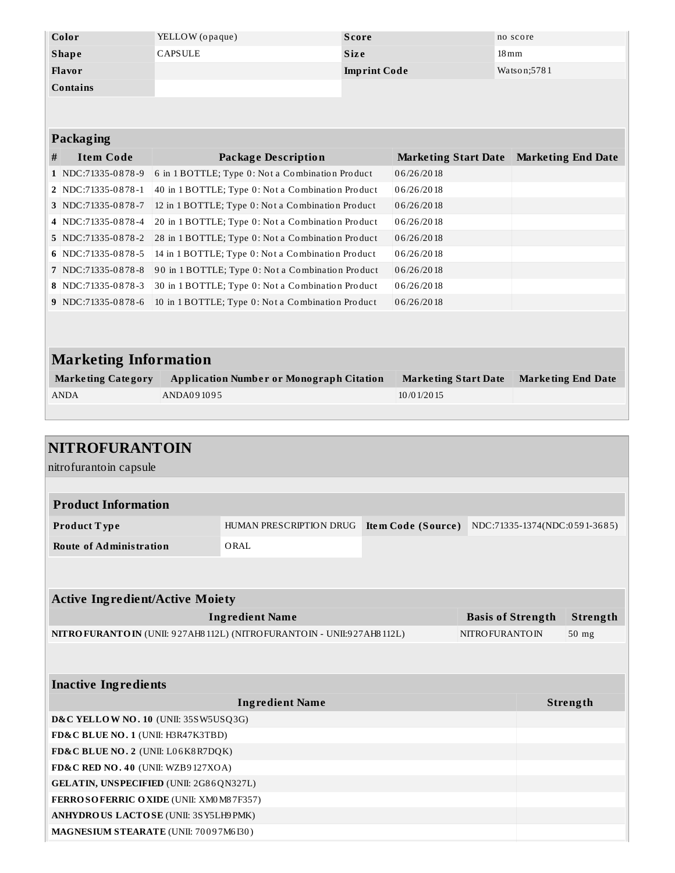| Color           | YELLOW (opaque) | Score               | no score           |
|-----------------|-----------------|---------------------|--------------------|
| <b>Shape</b>    | CAPSULE         | <b>Size</b>         | $18 \,\mathrm{mm}$ |
| Flavor          |                 | <b>Imprint Code</b> | Watson; 5781       |
| <b>Contains</b> |                 |                     |                    |

|   | <b>Packaging</b>   |                                                   |                             |                           |  |  |  |
|---|--------------------|---------------------------------------------------|-----------------------------|---------------------------|--|--|--|
| # | <b>Item Code</b>   | <b>Package Description</b>                        | <b>Marketing Start Date</b> | <b>Marketing End Date</b> |  |  |  |
|   | 1 NDC:71335-0878-9 | 6 in 1 BOTTLE; Type 0: Not a Combination Product  | 06/26/2018                  |                           |  |  |  |
|   | 2 NDC:71335-0878-1 | 40 in 1 BOTTLE; Type 0: Not a Combination Product | 06/26/2018                  |                           |  |  |  |
|   | 3 NDC:71335-0878-7 | 12 in 1 BOTTLE; Type 0: Not a Combination Product | 06/26/2018                  |                           |  |  |  |
|   | 4 NDC:71335-0878-4 | 20 in 1 BOTTLE; Type 0: Not a Combination Product | 06/26/2018                  |                           |  |  |  |
|   | 5 NDC:71335-0878-2 | 28 in 1 BOTTLE; Type 0: Not a Combination Product | 06/26/2018                  |                           |  |  |  |
|   | 6 NDC:71335-0878-5 | 14 in 1 BOTTLE; Type 0: Not a Combination Product | 06/26/2018                  |                           |  |  |  |
|   | 7 NDC:71335-0878-8 | 90 in 1 BOTTLE; Type 0: Not a Combination Product | 06/26/2018                  |                           |  |  |  |
|   | 8 NDC:71335-0878-3 | 30 in 1 BOTTLE; Type 0: Not a Combination Product | 06/26/2018                  |                           |  |  |  |
|   | 9 NDC:71335-0878-6 | 10 in 1 BOTTLE; Type 0: Not a Combination Product | 06/26/2018                  |                           |  |  |  |

| <b>Marketing Information</b> |                                                 |                             |                           |  |
|------------------------------|-------------------------------------------------|-----------------------------|---------------------------|--|
| <b>Marketing Category</b>    | <b>Application Number or Monograph Citation</b> | <b>Marketing Start Date</b> | <b>Marketing End Date</b> |  |
| <b>ANDA</b>                  | ANDA091095                                      | 10/01/2015                  |                           |  |
|                              |                                                 |                             |                           |  |

| <b>NITROFURANTOIN</b>                                                                                |                         |                           |  |          |                               |
|------------------------------------------------------------------------------------------------------|-------------------------|---------------------------|--|----------|-------------------------------|
| nitrofuranto in capsule                                                                              |                         |                           |  |          |                               |
|                                                                                                      |                         |                           |  |          |                               |
| <b>Product Information</b>                                                                           |                         |                           |  |          |                               |
| Product Type                                                                                         | HUMAN PRESCRIPTION DRUG | <b>Item Code (Source)</b> |  |          | NDC:71335-1374(NDC:0591-3685) |
| <b>Route of Administration</b>                                                                       | ORAL                    |                           |  |          |                               |
|                                                                                                      |                         |                           |  |          |                               |
|                                                                                                      |                         |                           |  |          |                               |
| <b>Active Ingredient/Active Moiety</b>                                                               |                         |                           |  |          |                               |
| <b>Ingredient Name</b><br><b>Basis of Strength</b>                                                   |                         |                           |  |          | Strength                      |
| NITRO FURANTO IN (UNII: 927AH8112L) (NITRO FURANTO IN - UNII: 927AH8112L)<br><b>NITRO FURANTO IN</b> |                         |                           |  | $50$ mg  |                               |
|                                                                                                      |                         |                           |  |          |                               |
|                                                                                                      |                         |                           |  |          |                               |
| <b>Inactive Ingredients</b>                                                                          |                         |                           |  |          |                               |
| <b>Ingredient Name</b>                                                                               |                         |                           |  | Strength |                               |
| D&C YELLOW NO. 10 (UNII: 35SW5USQ3G)                                                                 |                         |                           |  |          |                               |
| FD&C BLUE NO. 1 (UNII: H3R47K3TBD)                                                                   |                         |                           |  |          |                               |
| FD&C BLUE NO. 2 (UNII: L06K8R7DQK)                                                                   |                         |                           |  |          |                               |
| FD&C RED NO. 40 (UNII: WZB9127XOA)                                                                   |                         |                           |  |          |                               |
| <b>GELATIN, UNSPECIFIED (UNII: 2G86QN327L)</b>                                                       |                         |                           |  |          |                               |
| FERROSOFERRIC OXIDE (UNII: XM0 M8 7F357)                                                             |                         |                           |  |          |                               |
| ANHYDROUS LACTOSE (UNII: 3SY5LH9 PMK)                                                                |                         |                           |  |          |                               |
| MAGNESIUM STEARATE (UNII: 70097M6I30)                                                                |                         |                           |  |          |                               |
|                                                                                                      |                         |                           |  |          |                               |